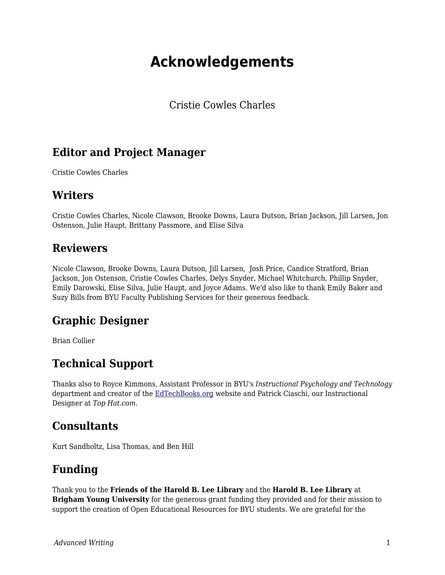# **Acknowledgements**

Cristie Cowles Charles

## **Editor and Project Manager**

Cristie Cowles Charles

#### **Writers**

Cristie Cowles Charles, Nicole Clawson, Brooke Downs, Laura Dutson, Brian Jackson, Jill Larsen, Jon Ostenson, Julie Haupt, Brittany Passmore, and Elise Silva

#### **Reviewers**

Nicole Clawson, Brooke Downs, Laura Dutson, Jill Larsen, Josh Price, Candice Stratford, Brian Jackson, Jon Ostenson, Cristie Cowles Charles, Delys Snyder, Michael Whitchurch, Phillip Snyder, Emily Darowski, Elise Silva, Julie Haupt, and Joyce Adams. We'd also like to thank Emily Baker and Suzy Bills from BYU Faculty Publishing Services for their generous feedback.

### **Graphic Designer**

Brian Collier

### **Technical Support**

Thanks also to Royce Kimmons, Assistant Professor in BYU's *Instructional Psychology and Technology* department and creator of the [EdTechBooks.org](https://edtechbooks.org/writing/EdTechBooks.org) website and Patrick Ciaschi, our Instructional Designer at *Top Hat.com*.

### **Consultants**

Kurt Sandholtz, Lisa Thomas, and Ben Hill

### **Funding**

Thank you to the **Friends of the Harold B. Lee Library** and the **Harold B. Lee Library** at **Brigham Young University** for the generous grant funding they provided and for their mission to support the creation of Open Educational Resources for BYU students. We are grateful for the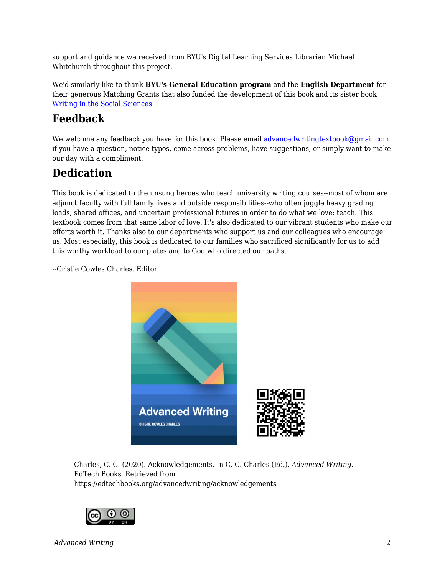support and guidance we received from BYU's Digital Learning Services Librarian Michael Whitchurch throughout this project.

We'd similarly like to thank **BYU's General Education program** and the **English Department** for their generous Matching Grants that also funded the development of this book and its sister book [Writing in the Social Sciences](https://edtechbooks.org/writing).

# **Feedback**

We welcome any feedback you have for this book. Please email [advancedwritingtextbook@gmail.com](mailto:advancedwritingtextbook@gmail.com) if you have a question, notice typos, come across problems, have suggestions, or simply want to make our day with a compliment.

## **Dedication**

This book is dedicated to the unsung heroes who teach university writing courses--most of whom are adjunct faculty with full family lives and outside responsibilities--who often juggle heavy grading loads, shared offices, and uncertain professional futures in order to do what we love: teach. This textbook comes from that same labor of love. It's also dedicated to our vibrant students who make our efforts worth it. Thanks also to our departments who support us and our colleagues who encourage us. Most especially, this book is dedicated to our families who sacrificed significantly for us to add this worthy workload to our plates and to God who directed our paths.

--Cristie Cowles Charles, Editor



Charles, C. C. (2020). Acknowledgements. In C. C. Charles (Ed.), *Advanced Writing*. EdTech Books. Retrieved from https://edtechbooks.org/advancedwriting/acknowledgements



*Advanced Writing* 2